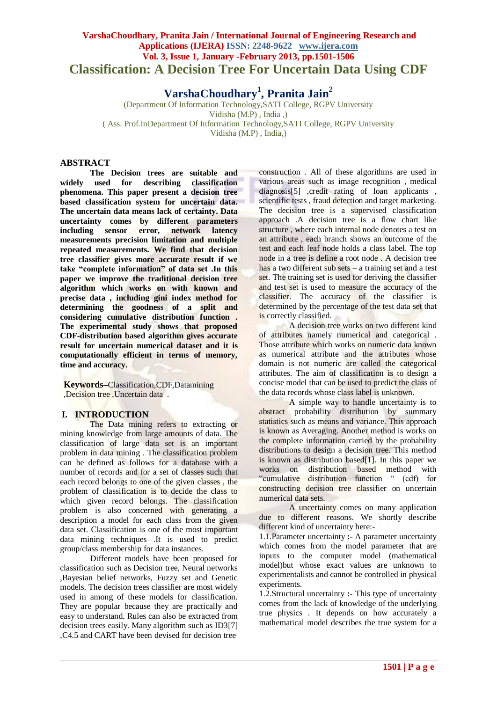# **VarshaChoudhary, Pranita Jain / International Journal of Engineering Research and Applications (IJERA) ISSN: 2248-9622 www.ijera.com Vol. 3, Issue 1, January -February 2013, pp.1501-1506 Classification: A Decision Tree For Uncertain Data Using CDF**

**VarshaChoudhary<sup>1</sup> , Pranita Jain<sup>2</sup>**

(Department Of Information Technology,SATI College, RGPV University Vidisha (M.P) , India ,) ( Ass. Prof.InDepartment Of Information Technology,SATI College, RGPV University Vidisha (M.P) , India,)

# **ABSTRACT**

**The Decision trees are suitable and widely used for describing classification phenomena. This paper present a decision tree based classification system for uncertain data. The uncertain data means lack of certainty. Data uncertainty comes by different parameters**  including sensor error, **measurements precision limitation and multiple repeated measurements. We find that decision tree classifier gives more accurate result if we take "complete information" of data set .In this paper we improve the traditional decision tree algorithm which works on with known and precise data , including gini index method for determining the goodness of a split and considering cumulative distribution function . The experimental study shows that proposed CDF-distribution based algorithm gives accurate result for uncertain numerical dataset and it is computationally efficient in terms of memory, time and accuracy.**

**Keywords–**Classification,CDF,Datamining ,Decision tree ,Uncertain data *.*

## **I. INTRODUCTION**

The Data mining refers to extracting or mining knowledge from large amounts of data. The classification of large data set is an important problem in data mining . The classification problem can be defined as follows for a database with a number of records and for a set of classes such that each record belongs to one of the given classes , the problem of classification is to decide the class to which given record belongs. The classification problem is also concerned with generating a description a model for each class from the given data set. Classification is one of the most important data mining techniques .It is used to predict group/class membership for data instances.

Different models have been proposed for classification such as Decision tree, Neural networks ,Bayesian belief networks, Fuzzy set and Genetic models. The decision trees classifier are most widely used in among of these models for classification. They are popular because they are practically and easy to understand. Rules can also be extracted from decision trees easily. Many algorithm such as ID3[7] ,C4.5 and CART have been devised for decision tree

construction . All of these algorithms are used in various areas such as image recognition , medical diagnosis<sup>[5]</sup>, credit rating of loan applicants, scientific tests , fraud detection and target marketing. The decision tree is a supervised classification approach .A decision tree is a flow chart like structure , where each internal node denotes a test on an attribute , each branch shows an outcome of the test and each leaf node holds a class label. The top node in a tree is define a root node . A decision tree has a two different sub sets – a training set and a test set. The training set is used for deriving the classifier and test set is used to measure the accuracy of the classifier. The accuracy of the classifier is determined by the percentage of the test data set that is correctly classified.

A decision tree works on two different kind of attributes namely numerical and categorical . Those attribute which works on numeric data known as numerical attribute and the attributes whose domain is not numeric are called the categorical attributes. The aim of classification is to design a concise model that can be used to predict the class of the data records whose class label is unknown.

A simple way to handle uncertainty is to abstract probability distribution by summary statistics such as means and variance. This approach is known as Averaging. Another method is works on the complete information carried by the probability distributions to design a decision tree. This method is known as distribution based[1]. In this paper we works on distribution based method with "cumulative distribution function " (cdf) for constructing decision tree classifier on uncertain numerical data sets.

A uncertainty comes on many application due to different reasons. We shortly describe different kind of uncertainty here:-

1.1.Parameter uncertainty **:-** A parameter uncertainty which comes from the model parameter that are inputs to the computer model (mathematical model)but whose exact values are unknown to experimentalists and cannot be controlled in physical experiments.

1.2.Structural uncertainty **:-** This type of uncertainty comes from the lack of knowledge of the underlying true physics . It depends on how accurately a mathematical model describes the true system for a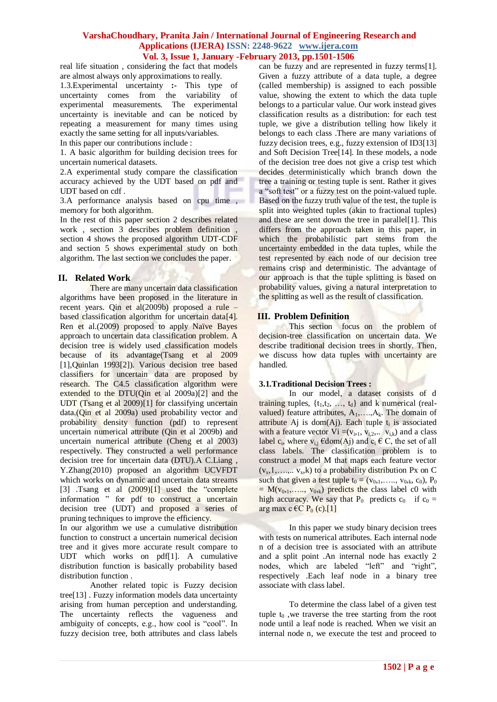real life situation , considering the fact that models are almost always only approximations to really.

1.3.Experimental uncertainty **:-** This type of uncertainty comes from the variability of experimental measurements. The experimental uncertainty is inevitable and can be noticed by repeating a measurement for many times using exactly the same setting for all inputs/variables. In this paper our contributions include :

1. A basic algorithm for building decision trees for uncertain numerical datasets.

2.A experimental study compare the classification accuracy achieved by the UDT based on pdf and UDT based on cdf .

3.A performance analysis based on cpu time , memory for both algorithm.

In the rest of this paper section 2 describes related work , section 3 describes problem definition , section 4 shows the proposed algorithm UDT-CDF and section 5 shows experimental study on both algorithm. The last section we concludes the paper.

### **II. Related Work**

There are many uncertain data classification algorithms have been proposed in the literature in recent years. Qin et al(2009b) proposed a rule – based classification algorithm for uncertain data[4]. Ren et al.(2009) proposed to apply Naïve Bayes approach to uncertain data classification problem. A decision tree is widely used classification models because of its advantage(Tsang et al 2009 [1],Quinlan 1993[2]). Various decision tree based classifiers for uncertain data are proposed by research. The C4.5 classification algorithm were extended to the DTU(Qin et al 2009a)[2] and the UDT (Tsang et al 2009)[1] for classifying uncertain data.(Qin et al 2009a) used probability vector and probability density function (pdf) to represent uncertain numerical attribute (Qin et al 2009b) and uncertain numerical attribute (Cheng et al 2003) respectively. They constructed a well performance decision tree for uncertain data (DTU).A C.Liang , Y.Zhang(2010) proposed an algorithm UCVFDT which works on dynamic and uncertain data streams [3] .Tsang et al (2009)[1] used the "complete" information " for pdf to construct a uncertain decision tree (UDT) and proposed a series of pruning techniques to improve the efficiency.

In our algorithm we use a cumulative distribution function to construct a uncertain numerical decision tree and it gives more accurate result compare to UDT which works on pdf[1]. A cumulative distribution function is basically probability based distribution function .

Another related topic is Fuzzy decision tree[13] . Fuzzy information models data uncertainty arising from human perception and understanding. The uncertainty reflects the vagueness and ambiguity of concepts, e.g., how cool is "cool". In fuzzy decision tree, both attributes and class labels

can be fuzzy and are represented in fuzzy terms[1]. Given a fuzzy attribute of a data tuple, a degree (called membership) is assigned to each possible value, showing the extent to which the data tuple belongs to a particular value. Our work instead gives classification results as a distribution: for each test tuple, we give a distribution telling how likely it belongs to each class .There are many variations of fuzzy decision trees, e.g., fuzzy extension of ID3[13] and Soft Decision Tree[14]. In these models, a node of the decision tree does not give a crisp test which decides deterministically which branch down the tree a training or testing tuple is sent. Rather it gives a "soft test" or a fuzzy test on the point-valued tuple. Based on the fuzzy truth value of the test, the tuple is split into weighted tuples (akin to fractional tuples) and these are sent down the tree in parallel[1]. This differs from the approach taken in this paper, in which the probabilistic part stems from the uncertainty embedded in the data tuples, while the test represented by each node of our decision tree remains crisp and deterministic. The advantage of our approach is that the tuple splitting is based on probability values, giving a natural interpretation to the splitting as well as the result of classification.

## **III. Problem Definition**

This section focus on the problem of decision-tree classification on uncertain data. We describe traditional decision trees in shortly. Then, we discuss how data tuples with uncertainty are handled.

### **3.1.Traditional Decision Trees :**

In our model, a dataset consists of d training tuples,  $\{t_1, t_2, \ldots, t_d\}$  and k numerical (realvalued) feature attributes,  $A_1, \ldots, A_k$ . The domain of attribute Aj is dom(Aj). Each tuple  $t_i$  is associated with a feature vector  $Vi = (v_{i,1}, v_{i,2}, \ldots, v_{i,k})$  and a class label  $c_i$ , where  $v_{i,j}$   $\epsilon$ dom(Aj) and  $c_i \epsilon$  C, the set of all class labels. The classification problem is to construct a model M that maps each feature vector  $(v_x,1,\ldots,v_x,k)$  to a probability distribution Px on C such that given a test tuple  $t_0 = (v_{0,1},..., v_{0,k}, c_0)$ ,  $P_0$  $= M(v_{0,1},..., v_{0,k})$  predicts the class label c0 with high accuracy. We say that  $P_0$  predicts  $c_0$  if  $c_0 =$ arg max c  $\epsilon$ C P<sub>0</sub> (c).[1]

In this paper we study binary decision trees with tests on numerical attributes. Each internal node n of a decision tree is associated with an attribute and a split point .An internal node has exactly 2 nodes, which are labeled "left" and "right", respectively .Each leaf node in a binary tree associate with class label.

To determine the class label of a given test tuple  $t_0$ , we traverse the tree starting from the root node until a leaf node is reached. When we visit an internal node n, we execute the test and proceed to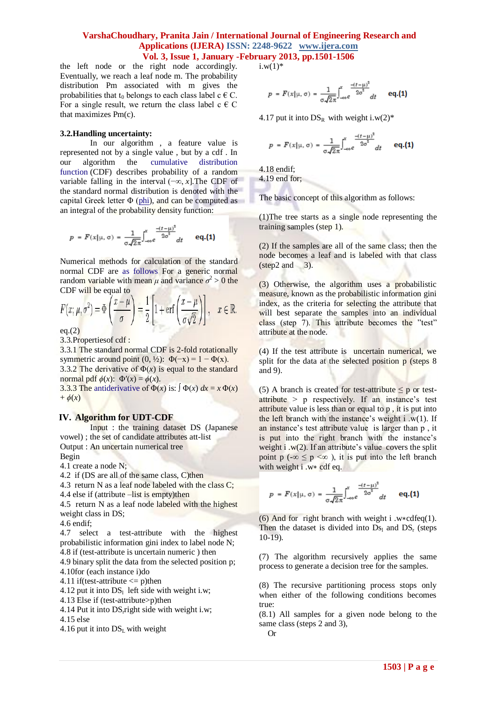the left node or the right node accordingly. Eventually, we reach a leaf node m. The probability distribution Pm associated with m gives the probabilities that  $t_0$  belongs to each class label c  $\in$  C. For a single result, we return the class label  $c \in C$ that maximizes Pm(c).

#### **3.2.Handling uncertainty:**

In our algorithm , a feature value is represented not by a single value , but by a cdf . In our algorithm the [cumulative distribution](http://en.wikipedia.org/wiki/Cumulative_distribution_function)  [function](http://en.wikipedia.org/wiki/Cumulative_distribution_function) (CDF) describes probability of a random variable falling in the interval (−∞, *x*].The CDF of the standard normal distribution is denoted with the capital Greek letter  $\Phi$  [\(phi\)](http://en.wikipedia.org/wiki/Phi_(letter)), and can be computed as an integral of the probability density function:

$$
p = F(x | \mu, \sigma) = \frac{1}{\sigma \sqrt{2\pi}} \int_{-\infty}^{x} e^{\frac{-(t-\mu)^2}{2\sigma^2}} dt
$$
 eq.(1)

Numerical methods for calculation of the standard normal CDF are as follows For a generic normal random variable with mean  $\mu$  and variance  $\sigma^2 > 0$  the CDF will be equal to

$$
F(x; \mu, \sigma^2) = \Phi\left(\frac{x - \mu}{\sigma}\right) = \frac{1}{2} \left[1 + \text{erf}\left(\frac{x - \mu}{\sigma\sqrt{2}}\right)\right], \quad x \in \mathbb{R}.
$$
  
Eq. (2)

 $eq.(2)$ 

3.3.Propertiesof cdf :

3.3.1 The standard normal CDF is 2-fold rotationally symmetric around point  $(0, \frac{1}{2})$ :  $\Phi(-x) = 1 - \Phi(x)$ . 3.3.2 The derivative of  $\Phi(x)$  is equal to the standard normal pdf  $\phi(x)$ :  $\Phi'(x) = \phi(x)$ .

3.3.3 The [antiderivative](http://en.wikipedia.org/wiki/Antiderivative) of  $\Phi(x)$  is:  $\int \Phi(x) dx = x \Phi(x)$  $+\phi(x)$ 

#### **IV. Algorithm for UDT-CDF**

Input : the training dataset DS (Japanese vowel) ; the set of candidate attributes att-list Output : An uncertain numerical tree Begin

4.1 create a node N;

4.2 if (DS are all of the same class, C)then

4.3 return N as a leaf node labeled with the class C;

4.4 else if (attribute –list is empty)then

4.5 return N as a leaf node labeled with the highest weight class in DS;

4.6 endif;

4.7 select a test-attribute with the highest probabilistic information gini index to label node N; 4.8 if (test-attribute is uncertain numeric ) then

4.9 binary split the data from the selected position p; 4.10for (each instance i)do

4.11 if (test-attribute  $\leq$  p) then

4.12 put it into  $DS<sub>l</sub>$  left side with weight i.w;

4.13 Else if (test-attribute>p)then

4.14 Put it into  $DS$ <sub>r</sub> right side with weight i.w; 4.15 else

4.16 put it into  $DS<sub>L</sub>$  with weight

 $i.w(1)*$ 

$$
p = F(x | \mu, \sigma) = \frac{1}{\sigma \sqrt{2\pi}} \int_{-\infty}^{x} \frac{-(t-\mu)^2}{2\sigma^2} dt \qquad \text{eq.}(1)
$$

4.17 put it into  $DS_R$  with weight i.w(2)\*

$$
p = F(x | \mu, \sigma) = \frac{1}{\sigma \sqrt{2\pi}} \int_{-\infty}^{x} \frac{-(t-\mu)^2}{2\sigma^2} dt \qquad \text{eq.}(1)
$$

4.18 endif;

4.19 end for;

The basic concept of this algorithm as follows:

(1)The tree starts as a single node representing the training samples (step 1).

(2) If the samples are all of the same class; then the node becomes a leaf and is labeled with that class  $(\text{step2 and } 3)$ .

(3) Otherwise, the algorithm uses a probabilistic measure, known as the probabilistic information gini index, as the criteria for selecting the attribute that will best separate the samples into an individual class (step 7). This attribute becomes the "test" attribute at the node. к

(4) If the test attribute is uncertain numerical, we split for the data at the selected position p (steps 8 and 9).

(5) A branch is created for test-attribute  $\leq p$  or testattribute > p respectively. If an instance's test attribute value is less than or equal to p , it is put into the left branch with the instance's weight i  $(w(1))$ . If an instance's test attribute value is larger than p , it is put into the right branch with the instance's weight i  $(w(2))$ . If an attribute's value covers the split point p ( $-\infty \le p \le \infty$ ), it is put into the left branch with weight i .w∗ cdf eq.

$$
p = F(x | \mu, \sigma) = \frac{1}{\sigma \sqrt{2\pi}} \int_{-\infty}^{\infty} \frac{-(t-\mu)^2}{2\sigma^2} dt
$$
 eq.(1)

(6) And for right branch with weight i .w∗cdfeq(1). Then the dataset is divided into  $Ds<sub>l</sub>$  and  $DS<sub>r</sub>$  (steps 10-19).

(7) The algorithm recursively applies the same process to generate a decision tree for the samples.

(8) The recursive partitioning process stops only when either of the following conditions becomes true:

(8.1) All samples for a given node belong to the same class (steps 2 and 3),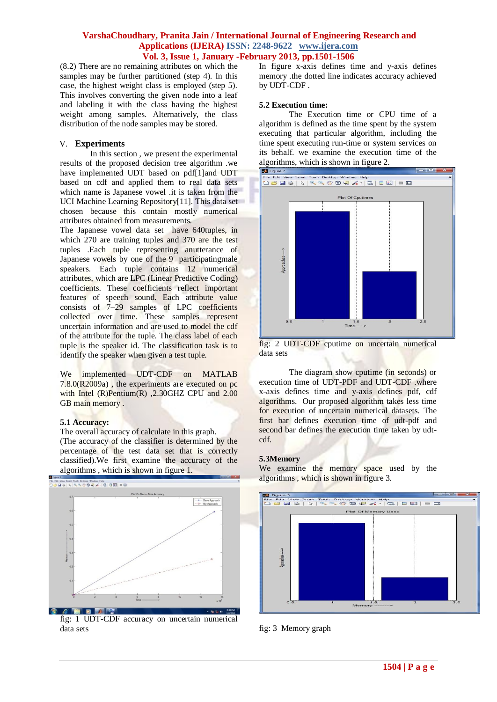(8.2) There are no remaining attributes on which the samples may be further partitioned (step 4). In this case, the highest weight class is employed (step 5). This involves converting the given node into a leaf and labeling it with the class having the highest weight among samples. Alternatively, the class distribution of the node samples may be stored.

### V. **Experiments**

In this section , we present the experimental results of the proposed decision tree algorithm .we have implemented UDT based on pdf[1]and UDT based on cdf and applied them to real data sets which name is Japanese vowel .it is taken from the UCI Machine Learning Repository[11]. This data set chosen because this contain mostly numerical attributes obtained from measurements.

The Japanese vowel data set have 640tuples, in which 270 are training tuples and 370 are the test tuples .Each tuple representing anutterance of Japanese vowels by one of the 9 participatingmale speakers. Each tuple contains 12 numerical attributes, which are LPC (Linear Predictive Coding) coefficients. These coefficients reflect important features of speech sound. Each attribute value consists of 7–29 samples of LPC coefficients collected over time. These samples represent uncertain information and are used to model the cdf of the attribute for the tuple. The class label of each tuple is the speaker id. The classification task is to identify the speaker when given a test tuple.

We implemented UDT-CDF on MATLAB 7.8.0(R2009a) , the experiments are executed on pc with Intel (R)Pentium(R) ,2.30GHZ CPU and 2.00 GB main memory.

### **5.1 Accuracy:**

The overall accuracy of calculate in this graph. (The accuracy of the classifier is determined by the percentage of the test data set that is correctly classified).We first examine the accuracy of the algorithms , which is shown in figure 1.



fig: 1 UDT-CDF accuracy on uncertain numerical data sets

In figure x-axis defines time and y-axis defines memory .the dotted line indicates accuracy achieved by UDT-CDF .

### **5.2 Execution time:**

The Execution time or CPU time of a algorithm is defined as the time spent by the system executing that particular algorithm, including the time spent executing run-time or system services on its behalf. we examine the execution time of the algorithms, which is shown in figure 2.



fig: 2 UDT-CDF cputime on uncertain numerical data sets

The diagram show cputime (in seconds) or execution time of UDT-PDF and UDT-CDF .where x-axis defines time and y-axis defines pdf, cdf algorithms. Our proposed algorithm takes less time for execution of uncertain numerical datasets. The first bar defines execution time of udt-pdf and second bar defines the execution time taken by udtcdf.

### **5.3Memory**

We examine the memory space used by the algorithms , which is shown in figure 3.



fig: 3 Memory graph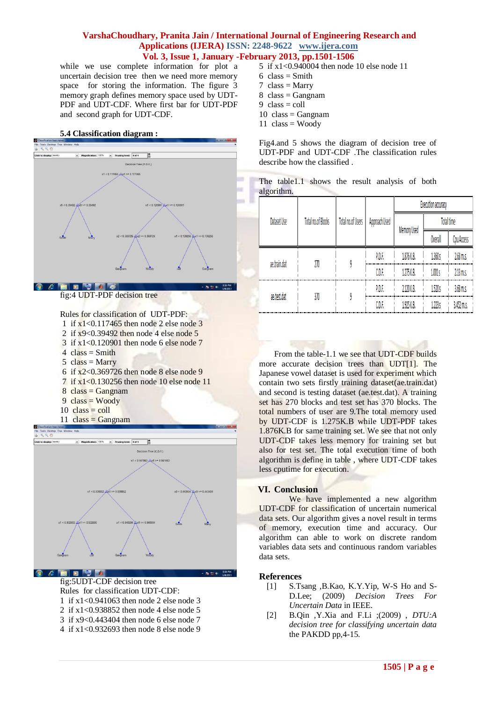while we use complete information for plot a uncertain decision tree then we need more memory space for storing the information. The figure 3 memory graph defines memory space used by UDT-PDF and UDT-CDF. Where first bar for UDT-PDF and second graph for UDT-CDF.

#### **5.4 Classification diagram :**



fig:4 UDT-PDF decision tree

Rules for classification of UDT-PDF:

- 1 if x1<0.117465 then node 2 else node 3
- 2 if x9<0.39492 then node 4 else node 5
- 3 if x1<0.120901 then node 6 else node 7
- $4 \text{ class} = \text{Smith}$
- $5 \text{ class} = \text{Mary}$
- 6 if x2<0.369726 then node 8 else node 9
- 7 if x1<0.130256 then node 10 else node 11
- $8$  class = Gangnam
- $9 \text{ class} = \text{Woody}$
- $10 \text{ class} = \text{coll}$
- 11  $class = \text{Gangnam}$



#### **DEA**

fig:5UDT-CDF decision tree Rules for classification UDT-CDF:

- 1 if x1<0.941063 then node 2 else node 3
- 2 if x1<0.938852 then node 4 else node 5
- 3 if x9<0.443404 then node 6 else node 7
- 4 if x1<0.932693 then node 8 else node 9
- 5 if x1<0.940004 then node 10 else node 11
- $6 \text{ class} = \text{Smith}$
- $7 \text{ class} = \text{Mary}$
- $8 \text{ class} = \text{Gangnam}$
- $9 \text{ class} = \text{coll}$
- $10 \text{ class} = \text{Gangnam}$
- $11 \text{ class} = \text{Woody}$

Fig4.and 5 shows the diagram of decision tree of UDT-PDF and UDT-CDF .The classification rules describe how the classified

|            |  | The table 1.1 shows the result analysis of both |  |
|------------|--|-------------------------------------------------|--|
| algorithm. |  |                                                 |  |

|  |              | <b>Total no.of Blocks</b> | Total no.of Users | Approach Used | Execution accuracy |                   |             |
|--|--------------|---------------------------|-------------------|---------------|--------------------|-------------------|-------------|
|  | Dataset Use  |                           |                   |               | Memory Used        | <b>Total time</b> |             |
|  |              |                           |                   |               |                    | <b>Overall</b>    | Cpu Access  |
|  | ae.train.dat | 270                       |                   | P.D.F.        | 1.876 K.B.         | 1.360 s           | 2.68 m.s.   |
|  |              |                           |                   | C.D.F.        | 1.275 K.B.         | 1.001 s           | 2.13 m.s.   |
|  | ae.test.dat  | 370                       |                   | P.D.F.        | 2.120 K.B.         | 1.520 s           | $3.68$ m.s. |
|  |              |                           |                   | C.D.F.        | 1.925 K.B.         | 1.223 s           | 3.452 m.s.  |

From the table-1.1 we see that UDT-CDF builds more accurate decision trees than UDT[1]. The Japanese vowel dataset is used for experiment which contain two sets firstly training dataset(ae.train.dat) and second is testing dataset (ae.test.dat). A training set has 270 blocks and test set has 370 blocks. The total numbers of user are 9.The total memory used by UDT-CDF is 1.275K.B while UDT-PDF takes 1.876K.B for same training set. We see that not only UDT-CDF takes less memory for training set but also for test set. The total execution time of both algorithm is define in table , where UDT-CDF takes less cputime for execution.

### **VI. Conclusion**

We have implemented a new algorithm UDT-CDF for classification of uncertain numerical data sets. Our algorithm gives a novel result in terms of memory, execution time and accuracy. Our algorithm can able to work on discrete random variables data sets and continuous random variables data sets.

### **References**

- [1] S.Tsang ,B.Kao, K.Y.Yip, W-S Ho and S-D.Lee; (2009) *Decision Trees For Uncertain Data* in IEEE.
- [2] B.Qin ,Y.Xia and F.Li ;(2009) , *DTU:A decision tree for classifying uncertain data*  the PAKDD pp,4-15.